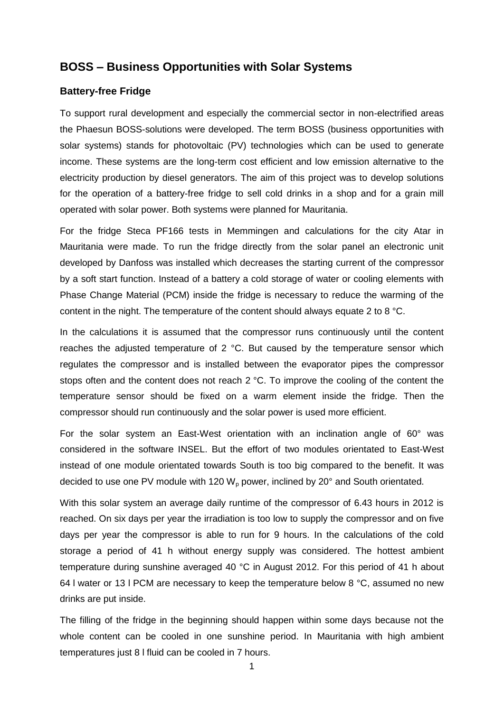## **BOSS – Business Opportunities with Solar Systems**

## **Battery-free Fridge**

To support rural development and especially the commercial sector in non-electrified areas the Phaesun BOSS-solutions were developed. The term BOSS (business opportunities with solar systems) stands for photovoltaic (PV) technologies which can be used to generate income. These systems are the long-term cost efficient and low emission alternative to the electricity production by diesel generators. The aim of this project was to develop solutions for the operation of a battery-free fridge to sell cold drinks in a shop and for a grain mill operated with solar power. Both systems were planned for Mauritania.

For the fridge Steca PF166 tests in Memmingen and calculations for the city Atar in Mauritania were made. To run the fridge directly from the solar panel an electronic unit developed by Danfoss was installed which decreases the starting current of the compressor by a soft start function. Instead of a battery a cold storage of water or cooling elements with Phase Change Material (PCM) inside the fridge is necessary to reduce the warming of the content in the night. The temperature of the content should always equate 2 to 8 °C.

In the calculations it is assumed that the compressor runs continuously until the content reaches the adjusted temperature of 2 °C. But caused by the temperature sensor which regulates the compressor and is installed between the evaporator pipes the compressor stops often and the content does not reach 2 °C. To improve the cooling of the content the temperature sensor should be fixed on a warm element inside the fridge. Then the compressor should run continuously and the solar power is used more efficient.

For the solar system an East-West orientation with an inclination angle of 60° was considered in the software INSEL. But the effort of two modules orientated to East-West instead of one module orientated towards South is too big compared to the benefit. It was decided to use one PV module with 120  $W<sub>p</sub>$  power, inclined by 20 $^{\circ}$  and South orientated.

With this solar system an average daily runtime of the compressor of 6.43 hours in 2012 is reached. On six days per year the irradiation is too low to supply the compressor and on five days per year the compressor is able to run for 9 hours. In the calculations of the cold storage a period of 41 h without energy supply was considered. The hottest ambient temperature during sunshine averaged 40 °C in August 2012. For this period of 41 h about 64 I water or 13 I PCM are necessary to keep the temperature below 8 °C, assumed no new drinks are put inside.

The filling of the fridge in the beginning should happen within some days because not the whole content can be cooled in one sunshine period. In Mauritania with high ambient temperatures just 8 l fluid can be cooled in 7 hours.